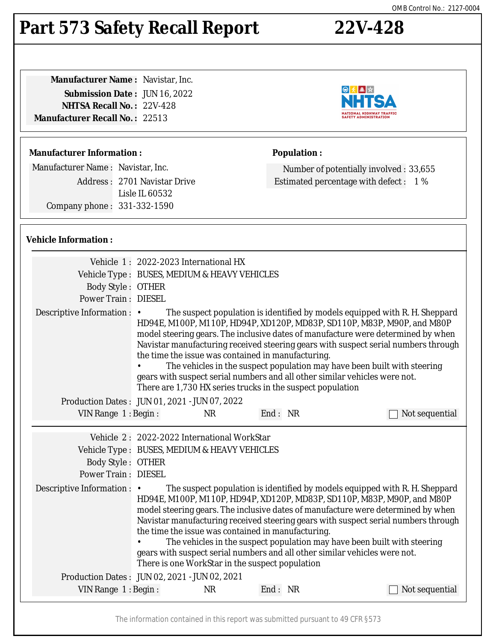#### The information contained in this report was submitted pursuant to 49 CFR §573

### OMB Control No.: 2127-0004

### **Part 573 Safety Recall Report 22V-428**

**Manufacturer Name :** Navistar, Inc. **Submission Date :** JUN 16, 2022 **NHTSA Recall No. :** 22V-428 **Manufacturer Recall No. :** 22513

### **Manufacturer Information :**

Manufacturer Name : Navistar, Inc.

Address : 2701 Navistar Drive Lisle IL 60532 Company phone : 331-332-1590

### **Vehicle Information :**

|                                               | Vehicle 1: 2022-2023 International HX                                                                                                                                                                                                                                                                                                                                                                                                                                                                                                                                                                          |           |                                                    |                                                                                                                                                                                                                                                                                                                                                                                                                                                                                            |
|-----------------------------------------------|----------------------------------------------------------------------------------------------------------------------------------------------------------------------------------------------------------------------------------------------------------------------------------------------------------------------------------------------------------------------------------------------------------------------------------------------------------------------------------------------------------------------------------------------------------------------------------------------------------------|-----------|----------------------------------------------------|--------------------------------------------------------------------------------------------------------------------------------------------------------------------------------------------------------------------------------------------------------------------------------------------------------------------------------------------------------------------------------------------------------------------------------------------------------------------------------------------|
|                                               | Vehicle Type : BUSES, MEDIUM & HEAVY VEHICLES                                                                                                                                                                                                                                                                                                                                                                                                                                                                                                                                                                  |           |                                                    |                                                                                                                                                                                                                                                                                                                                                                                                                                                                                            |
| <b>Body Style: OTHER</b>                      |                                                                                                                                                                                                                                                                                                                                                                                                                                                                                                                                                                                                                |           |                                                    |                                                                                                                                                                                                                                                                                                                                                                                                                                                                                            |
| <b>Power Train: DIESEL</b>                    |                                                                                                                                                                                                                                                                                                                                                                                                                                                                                                                                                                                                                |           |                                                    |                                                                                                                                                                                                                                                                                                                                                                                                                                                                                            |
| Descriptive Information : •                   | The suspect population is identified by models equipped with R. H. Sheppard<br>HD94E, M100P, M110P, HD94P, XD120P, MD83P, SD110P, M83P, M90P, and M80P<br>model steering gears. The inclusive dates of manufacture were determined by when<br>Navistar manufacturing received steering gears with suspect serial numbers through<br>the time the issue was contained in manufacturing.<br>The vehicles in the suspect population may have been built with steering<br>gears with suspect serial numbers and all other similar vehicles were not.<br>There are 1,730 HX series trucks in the suspect population |           |                                                    |                                                                                                                                                                                                                                                                                                                                                                                                                                                                                            |
| Production Dates: JUN 01, 2021 - JUN 07, 2022 |                                                                                                                                                                                                                                                                                                                                                                                                                                                                                                                                                                                                                |           |                                                    |                                                                                                                                                                                                                                                                                                                                                                                                                                                                                            |
| VIN Range 1: Begin:                           |                                                                                                                                                                                                                                                                                                                                                                                                                                                                                                                                                                                                                | <b>NR</b> | End: NR                                            | Not sequential                                                                                                                                                                                                                                                                                                                                                                                                                                                                             |
|                                               |                                                                                                                                                                                                                                                                                                                                                                                                                                                                                                                                                                                                                |           |                                                    |                                                                                                                                                                                                                                                                                                                                                                                                                                                                                            |
|                                               | Vehicle 2: 2022-2022 International WorkStar                                                                                                                                                                                                                                                                                                                                                                                                                                                                                                                                                                    |           |                                                    |                                                                                                                                                                                                                                                                                                                                                                                                                                                                                            |
|                                               | Vehicle Type : BUSES, MEDIUM & HEAVY VEHICLES                                                                                                                                                                                                                                                                                                                                                                                                                                                                                                                                                                  |           |                                                    |                                                                                                                                                                                                                                                                                                                                                                                                                                                                                            |
| <b>Body Style: OTHER</b>                      |                                                                                                                                                                                                                                                                                                                                                                                                                                                                                                                                                                                                                |           |                                                    |                                                                                                                                                                                                                                                                                                                                                                                                                                                                                            |
| <b>Power Train: DIESEL</b>                    |                                                                                                                                                                                                                                                                                                                                                                                                                                                                                                                                                                                                                |           |                                                    |                                                                                                                                                                                                                                                                                                                                                                                                                                                                                            |
| Descriptive Information : •                   | There is one WorkStar in the suspect population                                                                                                                                                                                                                                                                                                                                                                                                                                                                                                                                                                |           | the time the issue was contained in manufacturing. | The suspect population is identified by models equipped with R. H. Sheppard<br>HD94E, M100P, M110P, HD94P, XD120P, MD83P, SD110P, M83P, M90P, and M80P<br>model steering gears. The inclusive dates of manufacture were determined by when<br>Navistar manufacturing received steering gears with suspect serial numbers through<br>The vehicles in the suspect population may have been built with steering<br>gears with suspect serial numbers and all other similar vehicles were not. |
| Production Dates: JUN 02, 2021 - JUN 02, 2021 |                                                                                                                                                                                                                                                                                                                                                                                                                                                                                                                                                                                                                |           |                                                    |                                                                                                                                                                                                                                                                                                                                                                                                                                                                                            |
| VIN Range 1: Begin:                           |                                                                                                                                                                                                                                                                                                                                                                                                                                                                                                                                                                                                                | <b>NR</b> | End: NR                                            | Not sequential                                                                                                                                                                                                                                                                                                                                                                                                                                                                             |
|                                               |                                                                                                                                                                                                                                                                                                                                                                                                                                                                                                                                                                                                                |           |                                                    |                                                                                                                                                                                                                                                                                                                                                                                                                                                                                            |



Number of potentially involved : 33,655 Estimated percentage with defect : 1 %

**Population :**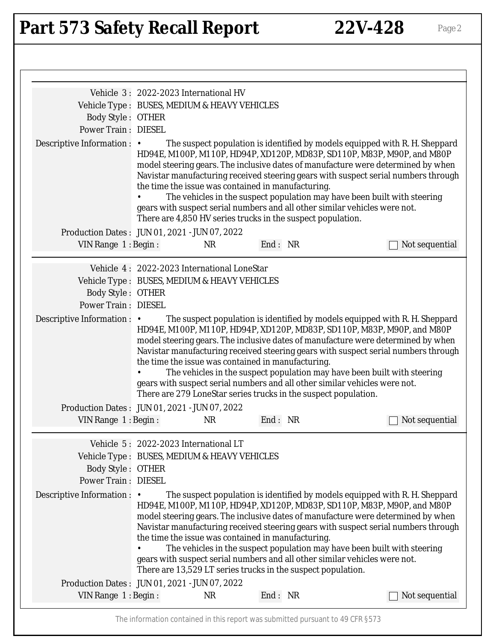# Part 573 Safety Recall Report 22V-428 Page 2

|                                                                                                                                                                                         | Vehicle 3: 2022-2023 International HV<br>Vehicle Type : BUSES, MEDIUM & HEAVY VEHICLES                                                                                                                                                                                                                                                                                                                                                                                                                                                                                                                          |                                                                                                                       |         |  |                                                                                                                                                                                                                                                                                                                                                                                                                                                                                            |
|-----------------------------------------------------------------------------------------------------------------------------------------------------------------------------------------|-----------------------------------------------------------------------------------------------------------------------------------------------------------------------------------------------------------------------------------------------------------------------------------------------------------------------------------------------------------------------------------------------------------------------------------------------------------------------------------------------------------------------------------------------------------------------------------------------------------------|-----------------------------------------------------------------------------------------------------------------------|---------|--|--------------------------------------------------------------------------------------------------------------------------------------------------------------------------------------------------------------------------------------------------------------------------------------------------------------------------------------------------------------------------------------------------------------------------------------------------------------------------------------------|
| <b>Body Style: OTHER</b>                                                                                                                                                                |                                                                                                                                                                                                                                                                                                                                                                                                                                                                                                                                                                                                                 |                                                                                                                       |         |  |                                                                                                                                                                                                                                                                                                                                                                                                                                                                                            |
| <b>Power Train: DIESEL</b>                                                                                                                                                              |                                                                                                                                                                                                                                                                                                                                                                                                                                                                                                                                                                                                                 |                                                                                                                       |         |  |                                                                                                                                                                                                                                                                                                                                                                                                                                                                                            |
| Descriptive Information : •                                                                                                                                                             | The suspect population is identified by models equipped with R. H. Sheppard<br>HD94E, M100P, M110P, HD94P, XD120P, MD83P, SD110P, M83P, M90P, and M80P<br>model steering gears. The inclusive dates of manufacture were determined by when<br>Navistar manufacturing received steering gears with suspect serial numbers through<br>the time the issue was contained in manufacturing.<br>The vehicles in the suspect population may have been built with steering<br>gears with suspect serial numbers and all other similar vehicles were not.<br>There are 4,850 HV series trucks in the suspect population. |                                                                                                                       |         |  |                                                                                                                                                                                                                                                                                                                                                                                                                                                                                            |
| Production Dates: JUN 01, 2021 - JUN 07, 2022                                                                                                                                           |                                                                                                                                                                                                                                                                                                                                                                                                                                                                                                                                                                                                                 |                                                                                                                       |         |  |                                                                                                                                                                                                                                                                                                                                                                                                                                                                                            |
| VIN Range 1: Begin:                                                                                                                                                                     |                                                                                                                                                                                                                                                                                                                                                                                                                                                                                                                                                                                                                 | <b>NR</b>                                                                                                             | End: NR |  | Not sequential                                                                                                                                                                                                                                                                                                                                                                                                                                                                             |
| Vehicle Type : BUSES, MEDIUM & HEAVY VEHICLES<br><b>Body Style: OTHER</b><br><b>Power Train: DIESEL</b><br>Descriptive Information : •<br>Production Dates: JUN 01, 2021 - JUN 07, 2022 | Vehicle 4: 2022-2023 International LoneStar                                                                                                                                                                                                                                                                                                                                                                                                                                                                                                                                                                     | the time the issue was contained in manufacturing.<br>There are 279 LoneStar series trucks in the suspect population. |         |  | The suspect population is identified by models equipped with R. H. Sheppard<br>HD94E, M100P, M110P, HD94P, XD120P, MD83P, SD110P, M83P, M90P, and M80P<br>model steering gears. The inclusive dates of manufacture were determined by when<br>Navistar manufacturing received steering gears with suspect serial numbers through<br>The vehicles in the suspect population may have been built with steering<br>gears with suspect serial numbers and all other similar vehicles were not. |
| VIN Range 1: Begin: NR                                                                                                                                                                  |                                                                                                                                                                                                                                                                                                                                                                                                                                                                                                                                                                                                                 |                                                                                                                       | End: NR |  | $\Box$ Not sequential                                                                                                                                                                                                                                                                                                                                                                                                                                                                      |
| Vehicle Type : BUSES, MEDIUM & HEAVY VEHICLES<br><b>Body Style: OTHER</b><br><b>Power Train: DIESEL</b><br>Descriptive Information :                                                    | Vehicle 5: 2022-2023 International LT<br>$\bullet$                                                                                                                                                                                                                                                                                                                                                                                                                                                                                                                                                              | the time the issue was contained in manufacturing.<br>There are 13,529 LT series trucks in the suspect population.    |         |  | The suspect population is identified by models equipped with R. H. Sheppard<br>HD94E, M100P, M110P, HD94P, XD120P, MD83P, SD110P, M83P, M90P, and M80P<br>model steering gears. The inclusive dates of manufacture were determined by when<br>Navistar manufacturing received steering gears with suspect serial numbers through<br>The vehicles in the suspect population may have been built with steering<br>gears with suspect serial numbers and all other similar vehicles were not. |
| Production Dates: JUN 01, 2021 - JUN 07, 2022                                                                                                                                           |                                                                                                                                                                                                                                                                                                                                                                                                                                                                                                                                                                                                                 |                                                                                                                       |         |  |                                                                                                                                                                                                                                                                                                                                                                                                                                                                                            |
|                                                                                                                                                                                         |                                                                                                                                                                                                                                                                                                                                                                                                                                                                                                                                                                                                                 | <b>NR</b>                                                                                                             |         |  |                                                                                                                                                                                                                                                                                                                                                                                                                                                                                            |
| VIN Range 1: Begin:                                                                                                                                                                     |                                                                                                                                                                                                                                                                                                                                                                                                                                                                                                                                                                                                                 |                                                                                                                       | End: NR |  | Not sequential                                                                                                                                                                                                                                                                                                                                                                                                                                                                             |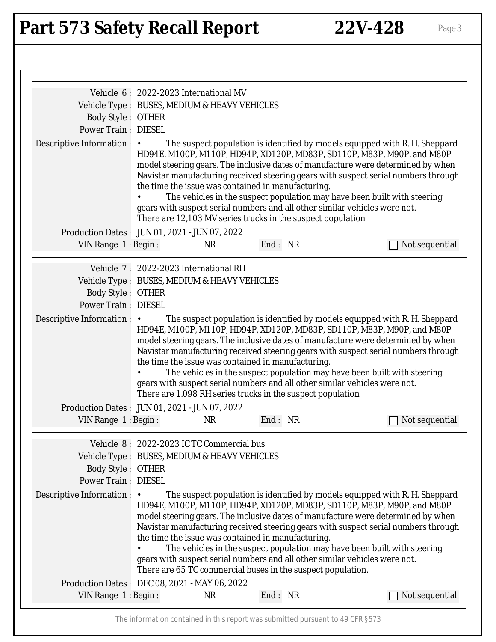# Part 573 Safety Recall Report 22V-428 Page 3

|                                                                                       | Vehicle 6: 2022-2023 International MV                                                                                                                                                                                                                                                                                                                                                                                                                                                                                                                                                                           |                                                                                                                   |         |  |                                                                                                                                                                                                                                                                                                                                                                                                                                                                                            |
|---------------------------------------------------------------------------------------|-----------------------------------------------------------------------------------------------------------------------------------------------------------------------------------------------------------------------------------------------------------------------------------------------------------------------------------------------------------------------------------------------------------------------------------------------------------------------------------------------------------------------------------------------------------------------------------------------------------------|-------------------------------------------------------------------------------------------------------------------|---------|--|--------------------------------------------------------------------------------------------------------------------------------------------------------------------------------------------------------------------------------------------------------------------------------------------------------------------------------------------------------------------------------------------------------------------------------------------------------------------------------------------|
|                                                                                       |                                                                                                                                                                                                                                                                                                                                                                                                                                                                                                                                                                                                                 | Vehicle Type : BUSES, MEDIUM & HEAVY VEHICLES                                                                     |         |  |                                                                                                                                                                                                                                                                                                                                                                                                                                                                                            |
| <b>Body Style: OTHER</b>                                                              |                                                                                                                                                                                                                                                                                                                                                                                                                                                                                                                                                                                                                 |                                                                                                                   |         |  |                                                                                                                                                                                                                                                                                                                                                                                                                                                                                            |
| <b>Power Train: DIESEL</b>                                                            |                                                                                                                                                                                                                                                                                                                                                                                                                                                                                                                                                                                                                 |                                                                                                                   |         |  |                                                                                                                                                                                                                                                                                                                                                                                                                                                                                            |
| Descriptive Information : •                                                           | The suspect population is identified by models equipped with R. H. Sheppard<br>HD94E, M100P, M110P, HD94P, XD120P, MD83P, SD110P, M83P, M90P, and M80P<br>model steering gears. The inclusive dates of manufacture were determined by when<br>Navistar manufacturing received steering gears with suspect serial numbers through<br>the time the issue was contained in manufacturing.<br>The vehicles in the suspect population may have been built with steering<br>gears with suspect serial numbers and all other similar vehicles were not.<br>There are 12,103 MV series trucks in the suspect population |                                                                                                                   |         |  |                                                                                                                                                                                                                                                                                                                                                                                                                                                                                            |
| Production Dates: JUN 01, 2021 - JUN 07, 2022                                         |                                                                                                                                                                                                                                                                                                                                                                                                                                                                                                                                                                                                                 |                                                                                                                   |         |  |                                                                                                                                                                                                                                                                                                                                                                                                                                                                                            |
| VIN Range 1: Begin:                                                                   |                                                                                                                                                                                                                                                                                                                                                                                                                                                                                                                                                                                                                 | <b>NR</b>                                                                                                         | End: NR |  | Not sequential                                                                                                                                                                                                                                                                                                                                                                                                                                                                             |
| <b>Body Style: OTHER</b><br><b>Power Train: DIESEL</b><br>Descriptive Information : • |                                                                                                                                                                                                                                                                                                                                                                                                                                                                                                                                                                                                                 |                                                                                                                   |         |  | The suspect population is identified by models equipped with R. H. Sheppard<br>HD94E, M100P, M110P, HD94P, XD120P, MD83P, SD110P, M83P, M90P, and M80P<br>model steering gears. The inclusive dates of manufacture were determined by when                                                                                                                                                                                                                                                 |
| Production Dates: JUN 01, 2021 - JUN 07, 2022                                         |                                                                                                                                                                                                                                                                                                                                                                                                                                                                                                                                                                                                                 | the time the issue was contained in manufacturing.<br>There are 1.098 RH series trucks in the suspect population  |         |  | Navistar manufacturing received steering gears with suspect serial numbers through<br>The vehicles in the suspect population may have been built with steering<br>gears with suspect serial numbers and all other similar vehicles were not.                                                                                                                                                                                                                                               |
|                                                                                       | VIN Range 1: Begin: NR                                                                                                                                                                                                                                                                                                                                                                                                                                                                                                                                                                                          |                                                                                                                   | End: NR |  | $\Box$ Not sequential                                                                                                                                                                                                                                                                                                                                                                                                                                                                      |
| <b>Body Style: OTHER</b><br><b>Power Train: DIESEL</b><br>Descriptive Information :   | Vehicle 8: 2022-2023 IC TC Commercial bus<br>Vehicle Type : BUSES, MEDIUM & HEAVY VEHICLES<br>$\bullet$                                                                                                                                                                                                                                                                                                                                                                                                                                                                                                         | the time the issue was contained in manufacturing.<br>There are 65 TC commercial buses in the suspect population. |         |  | The suspect population is identified by models equipped with R. H. Sheppard<br>HD94E, M100P, M110P, HD94P, XD120P, MD83P, SD110P, M83P, M90P, and M80P<br>model steering gears. The inclusive dates of manufacture were determined by when<br>Navistar manufacturing received steering gears with suspect serial numbers through<br>The vehicles in the suspect population may have been built with steering<br>gears with suspect serial numbers and all other similar vehicles were not. |
| Production Dates : DEC 08, 2021 - MAY 06, 2022<br>VIN Range 1: Begin:                 |                                                                                                                                                                                                                                                                                                                                                                                                                                                                                                                                                                                                                 | <b>NR</b>                                                                                                         | End: NR |  | Not sequential                                                                                                                                                                                                                                                                                                                                                                                                                                                                             |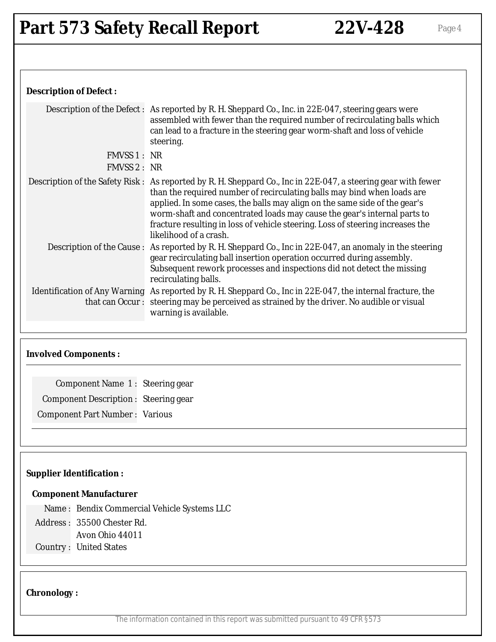### **Description of Defect :**

|                                             | Description of the Defect: As reported by R. H. Sheppard Co., Inc. in 22E-047, steering gears were<br>assembled with fewer than the required number of recirculating balls which<br>can lead to a fracture in the steering gear worm-shaft and loss of vehicle<br>steering.                                                                                                                                                                                    |  |  |  |
|---------------------------------------------|----------------------------------------------------------------------------------------------------------------------------------------------------------------------------------------------------------------------------------------------------------------------------------------------------------------------------------------------------------------------------------------------------------------------------------------------------------------|--|--|--|
| FMVSS 1: NR                                 |                                                                                                                                                                                                                                                                                                                                                                                                                                                                |  |  |  |
| FMVSS 2: NR                                 |                                                                                                                                                                                                                                                                                                                                                                                                                                                                |  |  |  |
|                                             | Description of the Safety Risk: As reported by R. H. Sheppard Co., Inc in 22E-047, a steering gear with fewer<br>than the required number of recirculating balls may bind when loads are<br>applied. In some cases, the balls may align on the same side of the gear's<br>worm-shaft and concentrated loads may cause the gear's internal parts to<br>fracture resulting in loss of vehicle steering. Loss of steering increases the<br>likelihood of a crash. |  |  |  |
|                                             | Description of the Cause: As reported by R. H. Sheppard Co., Inc in 22E-047, an anomaly in the steering<br>gear recirculating ball insertion operation occurred during assembly.<br>Subsequent rework processes and inspections did not detect the missing<br>recirculating balls.                                                                                                                                                                             |  |  |  |
|                                             | Identification of Any Warning As reported by R. H. Sheppard Co., Inc in 22E-047, the internal fracture, the                                                                                                                                                                                                                                                                                                                                                    |  |  |  |
|                                             | that can Occur: steering may be perceived as strained by the driver. No audible or visual<br>warning is available.                                                                                                                                                                                                                                                                                                                                             |  |  |  |
|                                             |                                                                                                                                                                                                                                                                                                                                                                                                                                                                |  |  |  |
| <b>Involved Components:</b>                 |                                                                                                                                                                                                                                                                                                                                                                                                                                                                |  |  |  |
| Component Name 1: Steering gear             |                                                                                                                                                                                                                                                                                                                                                                                                                                                                |  |  |  |
| <b>Component Description: Steering gear</b> |                                                                                                                                                                                                                                                                                                                                                                                                                                                                |  |  |  |
|                                             |                                                                                                                                                                                                                                                                                                                                                                                                                                                                |  |  |  |
| <b>Component Part Number: Various</b>       |                                                                                                                                                                                                                                                                                                                                                                                                                                                                |  |  |  |

### **Supplier Identification :**

#### **Component Manufacturer**

Name : Bendix Commercial Vehicle Systems LLC

Address : 35500 Chester Rd.

Avon Ohio 44011

Country : United States

### **Chronology :**

The information contained in this report was submitted pursuant to 49 CFR §573